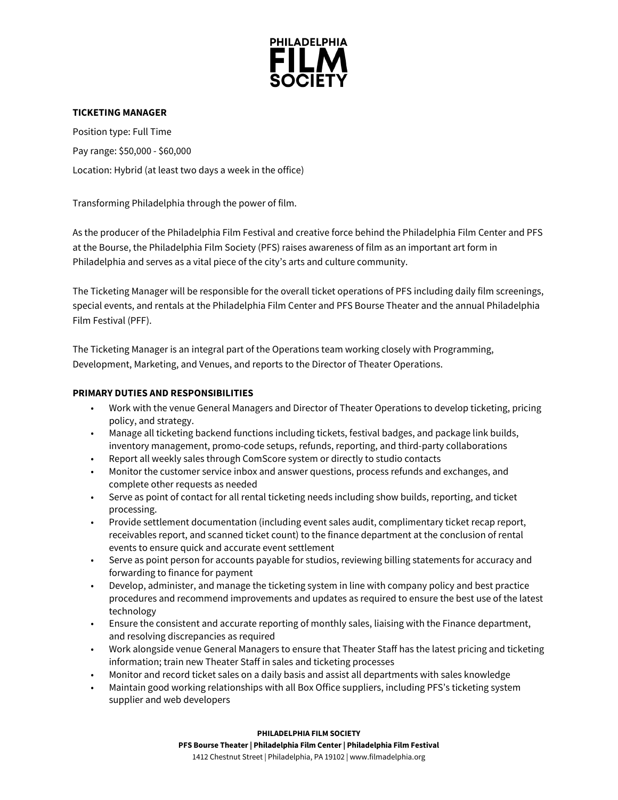

# **TICKETING MANAGER**

Position type: Full Time Pay range: \$50,000 - \$60,000 Location: Hybrid (at least two days a week in the office)

Transforming Philadelphia through the power of film.

As the producer of the Philadelphia Film Festival and creative force behind the Philadelphia Film Center and PFS at the Bourse, the Philadelphia Film Society (PFS) raises awareness of film as an important art form in Philadelphia and serves as a vital piece of the city's arts and culture community.

The Ticketing Manager will be responsible for the overall ticket operations of PFS including daily film screenings, special events, and rentals at the Philadelphia Film Center and PFS Bourse Theater and the annual Philadelphia Film Festival (PFF).

The Ticketing Manager is an integral part of the Operations team working closely with Programming, Development, Marketing, and Venues, and reports to the Director of Theater Operations.

## **PRIMARY DUTIES AND RESPONSIBILITIES**

- Work with the venue General Managers and Director of Theater Operations to develop ticketing, pricing policy, and strategy.
- Manage all ticketing backend functions including tickets, festival badges, and package link builds, inventory management, promo-code setups, refunds, reporting, and third-party collaborations
- Report all weekly sales through ComScore system or directly to studio contacts
- Monitor the customer service inbox and answer questions, process refunds and exchanges, and complete other requests as needed
- Serve as point of contact for all rental ticketing needs including show builds, reporting, and ticket processing.
- Provide settlement documentation (including event sales audit, complimentary ticket recap report, receivables report, and scanned ticket count) to the finance department at the conclusion of rental events to ensure quick and accurate event settlement
- Serve as point person for accounts payable for studios, reviewing billing statements for accuracy and forwarding to finance for payment
- Develop, administer, and manage the ticketing system in line with company policy and best practice procedures and recommend improvements and updates as required to ensure the best use of the latest technology
- Ensure the consistent and accurate reporting of monthly sales, liaising with the Finance department, and resolving discrepancies as required
- Work alongside venue General Managers to ensure that Theater Staff has the latest pricing and ticketing information; train new Theater Staff in sales and ticketing processes
- Monitor and record ticket sales on a daily basis and assist all departments with sales knowledge
- Maintain good working relationships with all Box Office suppliers, including PFS's ticketing system supplier and web developers

**PHILADELPHIA FILM SOCIETY**